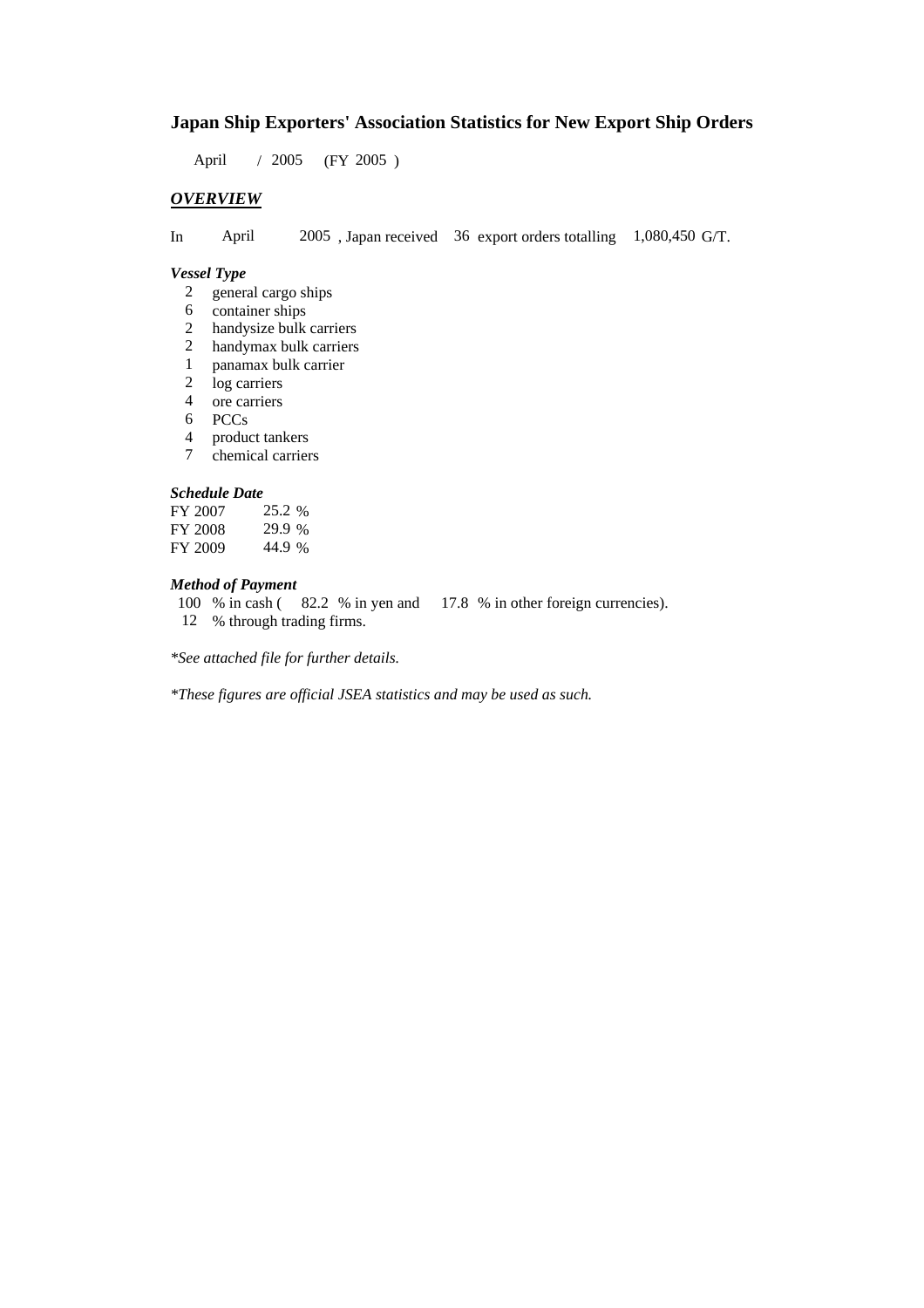### **Japan Ship Exporters' Association Statistics for New Export Ship Orders**

April / 2005 (FY 2005)

### *OVERVIEW*

In April 2005 , Japan received 36 export orders totalling 1,080,450 G/T.

#### *Vessel Type*

- 2 general cargo ships
- 6 container ships
- 2 handysize bulk carriers
- 2 handymax bulk carriers
- 1 panamax bulk carrier<br>2 log carriers
- log carriers
- 4 ore carriers
- 6 PCCs
- 4 product tankers<br>7 chemical carrier
- chemical carriers

#### *Schedule Date*

| FY 2007 | 25.2 % |
|---------|--------|
| FY 2008 | 29.9 % |
| FY 2009 | 44.9 % |

### *Method of Payment*

100 % in cash ( 82.2 % in yen and 17.8 % in other foreign currencies).

12 % through trading firms.

*\*See attached file for further details.*

*\*These figures are official JSEA statistics and may be used as such.*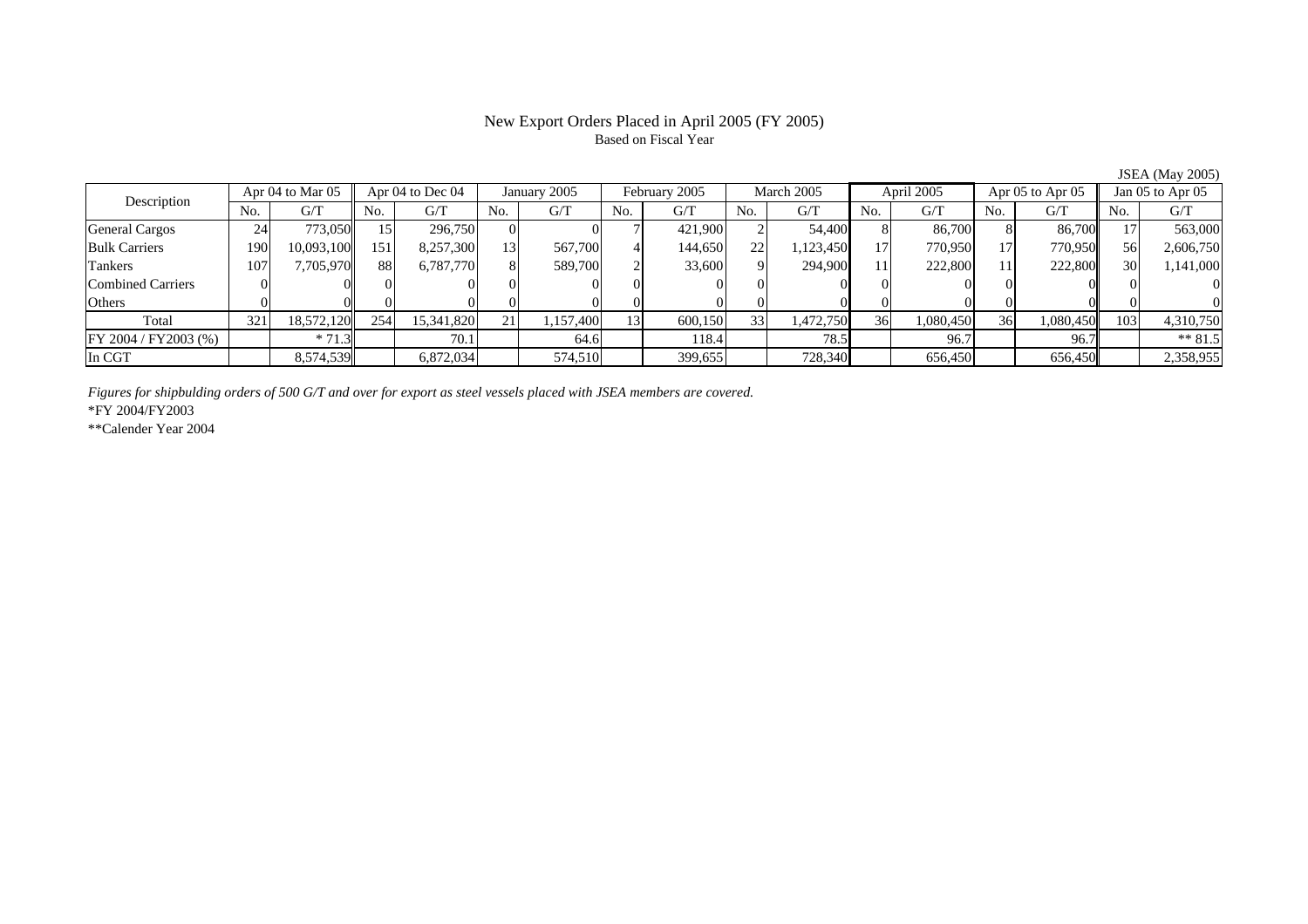# Based on Fiscal Year

Description Apr 04 to Mar 05 Apr 04 to Dec 04 January 2005 February 2005 March 2005 April 2005 Apr 05 to Apr 05 Jan 05 to Apr 05 No. $No.$   $G/T$ T || No. | G/T || No. | G/T || No. | G/T || No. | G/T || G/T || No. | G/T || No. | G/T || No. | G/T General Cargos | 24 | 773,050 || 15 | 296,750 | 0 | 7 | 421,900 | 2 | 54,400 | 8 | 86,700 | 8 | 86,700 || 17 | 563,000 Bulk Carriers 1900| 10,093,100|| 151| 8,257,300| 13| 567,700| 4| 144,650| 22| 1,123,450| 17| 770,950| 17| 770,950|| 56| 2,606,750 Tankers 1077| 7,705,970|| 88| 6,787,770| 8| 589,700| 2| 33,600| 9| 294,900| 11| 222,800| 11| 222,800|| 30| 1,141,000 Combined Carriers 1 0 0 0 0 0 0 0 0 0 0 0 0 0 0 0 0 **Others** s and  $\vert 0$  0 0 0 0 0 0 0 0 0 0 0 0 0 0 0 Total 321 18,572,120 254 15,341,820 21 1,157,400 13 600,150 33 1,472,750 36 1,080,450 36 1,080,450 103 4,310,750 FY 2004 / FY 2003 (%) \* 71.3 70.1 70.1 64.6 118.4 78.5 96.7 96.7 96.7 \* 81.5 In CGTT | 8,574,539 | 6,872,034 | 574,510| | 399,655 | 728,340 | 656,450 | 656,450| | 2,358,955 |

*Figures for shipbulding orders of 500 G/T and over for export as steel vessels placed with JSEA members are covered.*

\*FY 2004/FY2003

\*\*Calender Year 2004

JSEA (May 2005)

# New Export Orders Placed in April 2005 (FY 2005)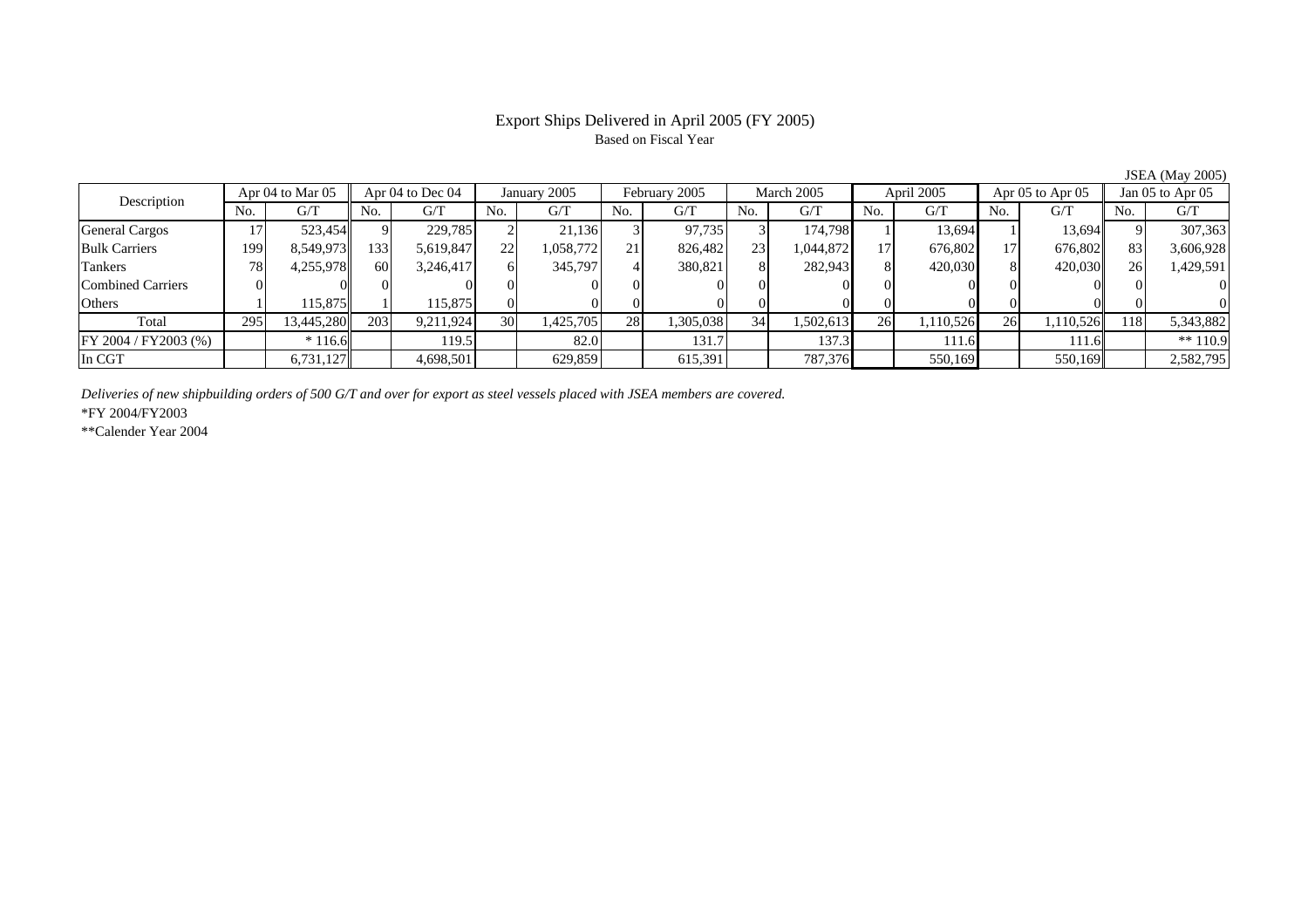# Based on Fiscal Year

Description Apr 04 to Mar 05 Apr 04 to Dec 04 January 2005 February 2005 March 2005 April 2005 Apr 05 to Apr 05 Jan 05 to Apr 05 No. 1 G/T<br>No. 1 G/T No. 1 G/T No. 1 G/T No. 1 G/T No. 1 G/T No. 1 G/T No. 1 G/T No. 1 G/T No. No.  $G/T$ T || No. | G/T || No. | G/T || No. | G/T || No. | G/T || G/T || No. | G/T || No. | G/T || No. | G/T General Cargos | 17 | 523,454 || 9 | 229,785 | 2 | 21,136 | 3 | 97,735 | 3 | 17,798 | 1 | 13,694 | 1 | Bulk Carriers 1999| 8,549,973|| 133| 5,619,847| 22| 1,058,772| 21| 826,482| 23| 1,044,872| 17| 676,802| 17| 676,802|| 83| 3,606,928 Tankers 788| 4,255,978|| 60| 3,246,417| 6| 345,797| 4| 380,821| 8| 282,943| 8| 420,030| 8| 420,030|| 26| 1,429,591 Combined Carriers 0 0 0 0 0 0 0 0 0 0 0 0 0 0 0 0 **Others** s and  $1$  115,875 1 115,875 0 0 0 0 0 0 0 0 0 0 0 0 Total 295 13,445,280 203 9,211,924 30 1,425,705 28 1,305,038 34 1,502,613 26 1,110,526 26 1,110,526 118 5,343,882 FY 2004 / FY2003 (%) \* 116.6 119.5 82.0 131.7 137.3 111.6 111.6 \*\* 110.9 In CGTT | | 6,731,127|| | 4,698,501| | 629,859| | 615,391| | 787,376| | 550,169| | 550,169|| | 2,582,795

*Deliveries of new shipbuilding orders of 500 G/T and over for export as steel vessels placed with JSEA members are covered.*

\*FY 2004/FY2003

\*\*Calender Year 2004

JSEA (May 2005)

Export Ships Delivered in April 2005 (FY 2005)